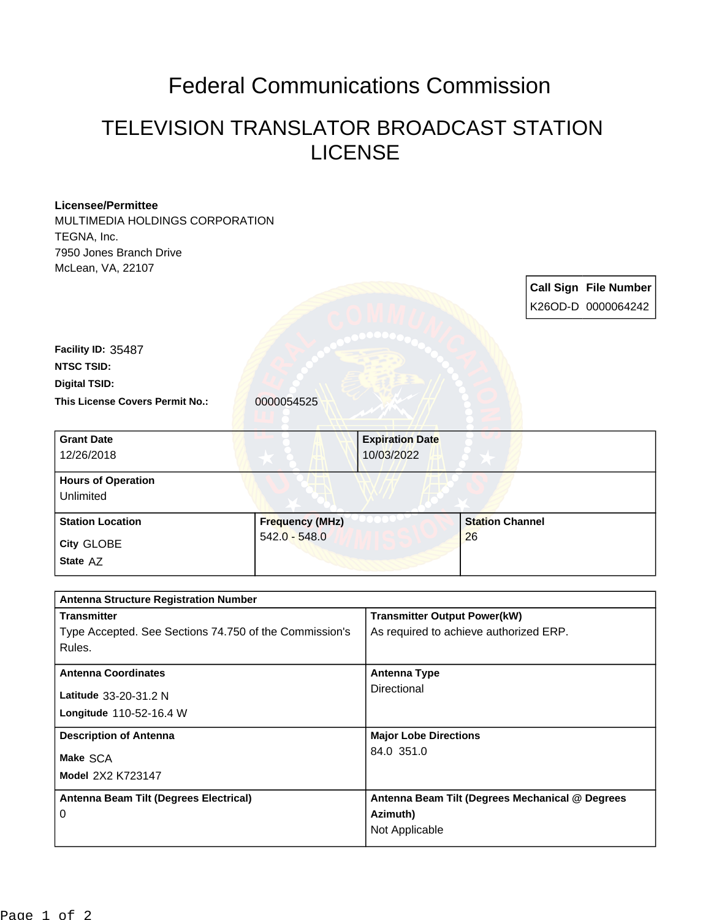## Federal Communications Commission

## TELEVISION TRANSLATOR BROADCAST STATION LICENSE

## **Licensee/Permittee** MULTIMEDIA HOLDINGS CORPORATION TEGNA, Inc. 7950 Jones Branch Drive McLean, VA, 22107 **Call Sign File Number** K26OD-D 0000064242 This License Covers Permit No.: 0000054525 **Digital TSID: NTSC TSID: Facility ID:** 35487 **State** AZ **City** GLOBE **Grant Date** 12/26/2018 **Expiration Date** 10/03/2022 **Hours of Operation** Unlimited Station Location **Frequency (MHz)** 542.0 - 548.0 **Station Channel** 26

| <b>Antenna Structure Registration Number</b>           |                                                 |  |
|--------------------------------------------------------|-------------------------------------------------|--|
| <b>Transmitter</b>                                     | <b>Transmitter Output Power(kW)</b>             |  |
| Type Accepted. See Sections 74.750 of the Commission's | As required to achieve authorized ERP.          |  |
| Rules.                                                 |                                                 |  |
| <b>Antenna Coordinates</b>                             | Antenna Type                                    |  |
| Latitude 33-20-31.2 N                                  | Directional                                     |  |
| <b>Longitude</b> $110-52-16.4$ W                       |                                                 |  |
| <b>Description of Antenna</b>                          | <b>Major Lobe Directions</b>                    |  |
| Make SCA                                               | 84.0 351.0                                      |  |
| Model 2X2 K723147                                      |                                                 |  |
| Antenna Beam Tilt (Degrees Electrical)                 | Antenna Beam Tilt (Degrees Mechanical @ Degrees |  |
| 0                                                      | Azimuth)                                        |  |
|                                                        | Not Applicable                                  |  |
|                                                        |                                                 |  |